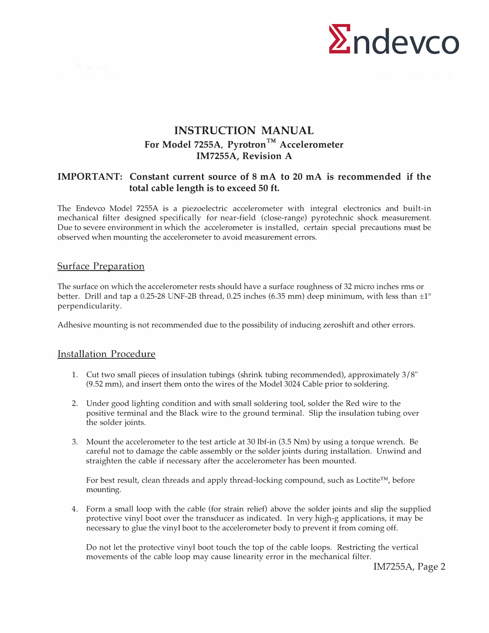

# **INSTRUCTION MANUAL**  For Model 7255A, Pyrotron<sup>TM</sup> Accelerometer **IM7255A, Revision A**

## **IMPORTANT: Constant current source of 8 mA to 20 mA is recommended if the total cable length is to exceed 50 ft.**

The Endevco Model 7255A is a piezoelectric accelerometer with integral electronics and built-in mechanical filter designed specifically for near-field (close-range) pyrotechnic shock measurement. Due to severe environment in which the accelerometer is installed, certain special precautions must be observed when mounting the accelerometer to avoid measurement errors.

#### Surface Preparation

The surface on which the accelerometer rests should have a surface roughness of 32 micro inches rms or better. Drill and tap a 0.25-28 UNF-2B thread, 0.25 inches (6.35 mm) deep minimum, with less than  $\pm 1^{\circ}$ perpendicularity.

Adhesive mounting is not recommended due to the possibility of inducing zeroshift and other errors.

#### Installation Procedure

- 1. Cut two small pieces of insulation tubings (shrink tubing recommended), approximately 3 / 8" (9.52 mm), and insert them onto the wires of the Model 3024 Cable prior to soldering.
- 2. Under good lighting condition and with small soldering tool, solder the Red wire to the positive terminal and the Black wire to the ground terminal. Slip the insulation tubing over the solder joints.
- 3. Mount the accelerometer to the test article at 30 lbf-in (3.5 Nm) by using a torque wrench. Be careful not to damage the cable assembly or the solder joints during installation. Unwind and straighten the cable if necessary after the accelerometer has been mounted.

For best result, clean threads and apply thread-locking compound, such as Loctite™, before mounting.

4. Form a small loop with the cable (for strain relief) above the solder joints and slip the supplied protective vinyl boot over the transducer as indicated. In very high-g applications, it may be necessary to glue the vinyl boot to the accelerometer body to prevent it from coming off.

Do not let the protective vinyl boot touch the top of the cable loops. Restricting the vertical movements of the cable loop may cause linearity error in the mechanical filter.

IM7255A, Page 2